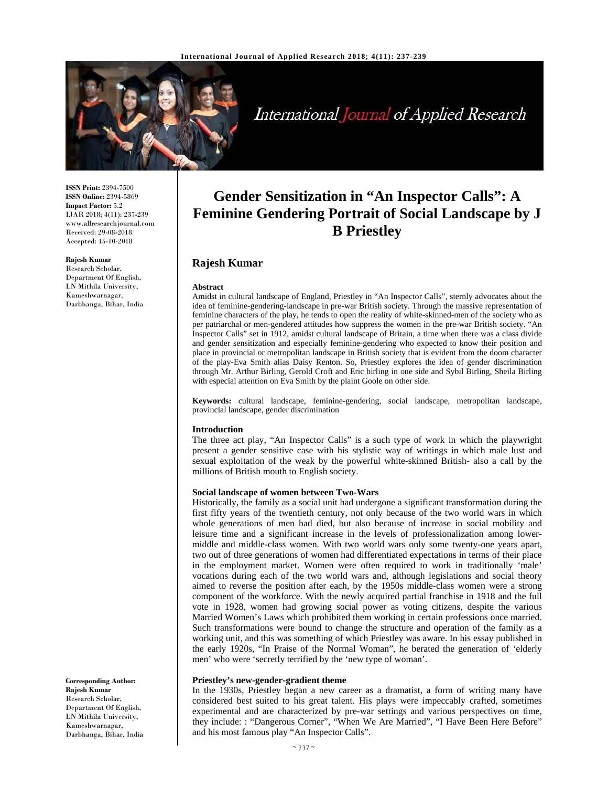

**Rajesh Kumar** 

**Abstract** 

**Introduction** 

International Journal of Applied Research

**Gender Sensitization in "An Inspector Calls": A Feminine Gendering Portrait of Social Landscape by J B Priestley**

Amidst in cultural landscape of England, Priestley in "An Inspector Calls", sternly advocates about the idea of feminine-gendering-landscape in pre-war British society. Through the massive representation of feminine characters of the play, he tends to open the reality of white-skinned-men of the society who as per patriarchal or men-gendered attitudes how suppress the women in the pre-war British society. "An Inspector Calls" set in 1912, amidst cultural landscape of Britain, a time when there was a class divide and gender sensitization and especially feminine-gendering who expected to know their position and place in provincial or metropolitan landscape in British society that is evident from the doom character of the play-Eva Smith alias Daisy Renton. So, Priestley explores the idea of gender discrimination through Mr. Arthur Birling, Gerold Croft and Eric birling in one side and Sybil Birling, Sheila Birling

**Keywords:** cultural landscape, feminine-gendering, social landscape, metropolitan landscape,

The three act play, "An Inspector Calls" is a such type of work in which the playwright present a gender sensitive case with his stylistic way of writings in which male lust and sexual exploitation of the weak by the powerful white-skinned British- also a call by the

**ISSN Print:** 2394-7500 **ISSN Online:** 2394-5869 **Impact Factor:** 5.2 IJAR 2018; 4(11): 237-239 www.allresearchjournal.com Received: 29-08-2018 Accepted: 15-10-2018

#### **Rajesh Kumar**

Research Scholar, Department Of English, LN Mithila University, Kameshwarnagar, Darbhanga, Bihar, India

> **Social landscape of women between Two-Wars**  Historically, the family as a social unit had undergone a significant transformation during the

with especial attention on Eva Smith by the plaint Goole on other side.

provincial landscape, gender discrimination

millions of British mouth to English society.

first fifty years of the twentieth century, not only because of the two world wars in which whole generations of men had died, but also because of increase in social mobility and leisure time and a significant increase in the levels of professionalization among lowermiddle and middle-class women. With two world wars only some twenty-one years apart, two out of three generations of women had differentiated expectations in terms of their place in the employment market. Women were often required to work in traditionally 'male' vocations during each of the two world wars and, although legislations and social theory aimed to reverse the position after each, by the 1950s middle-class women were a strong component of the workforce. With the newly acquired partial franchise in 1918 and the full vote in 1928, women had growing social power as voting citizens, despite the various Married Women's Laws which prohibited them working in certain professions once married. Such transformations were bound to change the structure and operation of the family as a working unit, and this was something of which Priestley was aware. In his essay published in the early 1920s, "In Praise of the Normal Woman", he berated the generation of 'elderly men' who were 'secretly terrified by the 'new type of woman'.

#### **Priestley's new-gender-gradient theme**

In the 1930s, Priestley began a new career as a dramatist, a form of writing many have considered best suited to his great talent. His plays were impeccably crafted, sometimes experimental and are characterized by pre-war settings and various perspectives on time, they include: : "Dangerous Corner", "When We Are Married", "I Have Been Here Before" and his most famous play "An Inspector Calls".

**Corresponding Author: Rajesh Kumar**  Research Scholar, Department Of English, LN Mithila University, Kameshwarnagar, Darbhanga, Bihar, India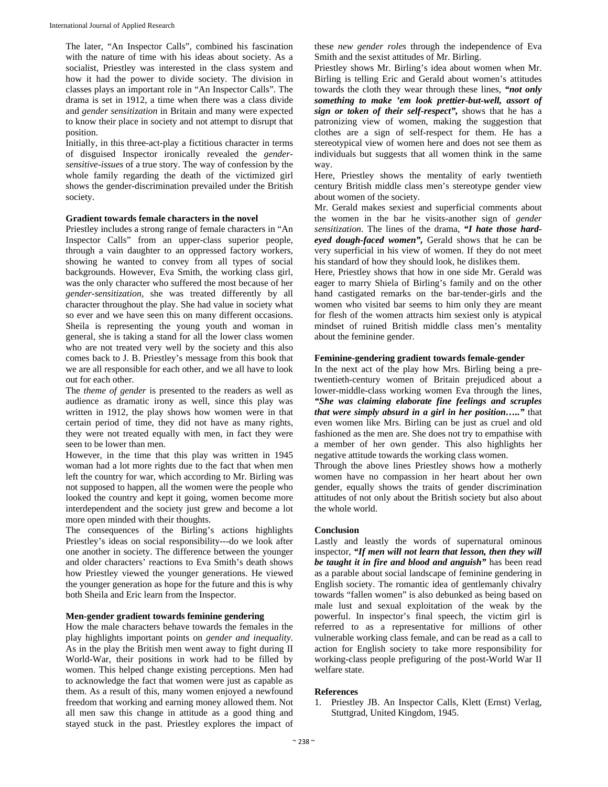The later, "An Inspector Calls", combined his fascination with the nature of time with his ideas about society. As a socialist, Priestley was interested in the class system and how it had the power to divide society. The division in classes plays an important role in "An Inspector Calls". The drama is set in 1912, a time when there was a class divide and *gender sensitization* in Britain and many were expected to know their place in society and not attempt to disrupt that position.

Initially, in this three-act-play a fictitious character in terms of disguised Inspector ironically revealed the *gendersensitive-issues* of a true story. The way of confession by the whole family regarding the death of the victimized girl shows the gender-discrimination prevailed under the British society.

# **Gradient towards female characters in the novel**

Priestley includes a strong range of female characters in "An Inspector Calls" from an upper-class superior people, through a vain daughter to an oppressed factory workers, showing he wanted to convey from all types of social backgrounds. However, Eva Smith, the working class girl, was the only character who suffered the most because of her *gender-sensitization,* she was treated differently by all character throughout the play. She had value in society what so ever and we have seen this on many different occasions. Sheila is representing the young youth and woman in general, she is taking a stand for all the lower class women who are not treated very well by the society and this also comes back to J. B. Priestley's message from this book that we are all responsible for each other, and we all have to look out for each other.

The *theme of gender* is presented to the readers as well as audience as dramatic irony as well, since this play was written in 1912, the play shows how women were in that certain period of time, they did not have as many rights, they were not treated equally with men, in fact they were seen to be lower than men.

However, in the time that this play was written in 1945 woman had a lot more rights due to the fact that when men left the country for war, which according to Mr. Birling was not supposed to happen, all the women were the people who looked the country and kept it going, women become more interdependent and the society just grew and become a lot more open minded with their thoughts.

The consequences of the Birling's actions highlights Priestley's ideas on social responsibility---do we look after one another in society. The difference between the younger and older characters' reactions to Eva Smith's death shows how Priestley viewed the younger generations. He viewed the younger generation as hope for the future and this is why both Sheila and Eric learn from the Inspector.

# **Men-gender gradient towards feminine gendering**

How the male characters behave towards the females in the play highlights important points on *gender and inequality*. As in the play the British men went away to fight during II World-War, their positions in work had to be filled by women. This helped change existing perceptions. Men had to acknowledge the fact that women were just as capable as them. As a result of this, many women enjoyed a newfound freedom that working and earning money allowed them. Not all men saw this change in attitude as a good thing and stayed stuck in the past. Priestley explores the impact of

these *new gender roles* through the independence of Eva Smith and the sexist attitudes of Mr. Birling.

Priestley shows Mr. Birling's idea about women when Mr. Birling is telling Eric and Gerald about women's attitudes towards the cloth they wear through these lines, *"not only something to make 'em look prettier-but-well, assort of sign or token of their self-respect",* shows that he has a patronizing view of women, making the suggestion that clothes are a sign of self-respect for them. He has a stereotypical view of women here and does not see them as individuals but suggests that all women think in the same way.

Here, Priestley shows the mentality of early twentieth century British middle class men's stereotype gender view about women of the society.

Mr. Gerald makes sexiest and superficial comments about the women in the bar he visits-another sign of *gender sensitization*. The lines of the drama, *"I hate those hardeyed dough-faced women",* Gerald shows that he can be very superficial in his view of women. If they do not meet his standard of how they should look, he dislikes them.

Here, Priestley shows that how in one side Mr. Gerald was eager to marry Shiela of Birling's family and on the other hand castigated remarks on the bar-tender-girls and the women who visited bar seems to him only they are meant for flesh of the women attracts him sexiest only is atypical mindset of ruined British middle class men's mentality about the feminine gender.

### **Feminine-gendering gradient towards female-gender**

In the next act of the play how Mrs. Birling being a pretwentieth-century women of Britain prejudiced about a lower-middle-class working women Eva through the lines, *"She was claiming elaborate fine feelings and scruples that were simply absurd in a girl in her position….."* that even women like Mrs. Birling can be just as cruel and old fashioned as the men are. She does not try to empathise with a member of her own gender. This also highlights her negative attitude towards the working class women.

Through the above lines Priestley shows how a motherly women have no compassion in her heart about her own gender, equally shows the traits of gender discrimination attitudes of not only about the British society but also about the whole world.

## **Conclusion**

Lastly and leastly the words of supernatural ominous inspector, *"If men will not learn that lesson, then they will be taught it in fire and blood and anguish"* has been read as a parable about social landscape of feminine gendering in English society. The romantic idea of gentlemanly chivalry towards "fallen women" is also debunked as being based on male lust and sexual exploitation of the weak by the powerful. In inspector's final speech, the victim girl is referred to as a representative for millions of other vulnerable working class female, and can be read as a call to action for English society to take more responsibility for working-class people prefiguring of the post-World War II welfare state.

## **References**

1. Priestley JB. An Inspector Calls, Klett (Ernst) Verlag, Stuttgrad, United Kingdom, 1945.